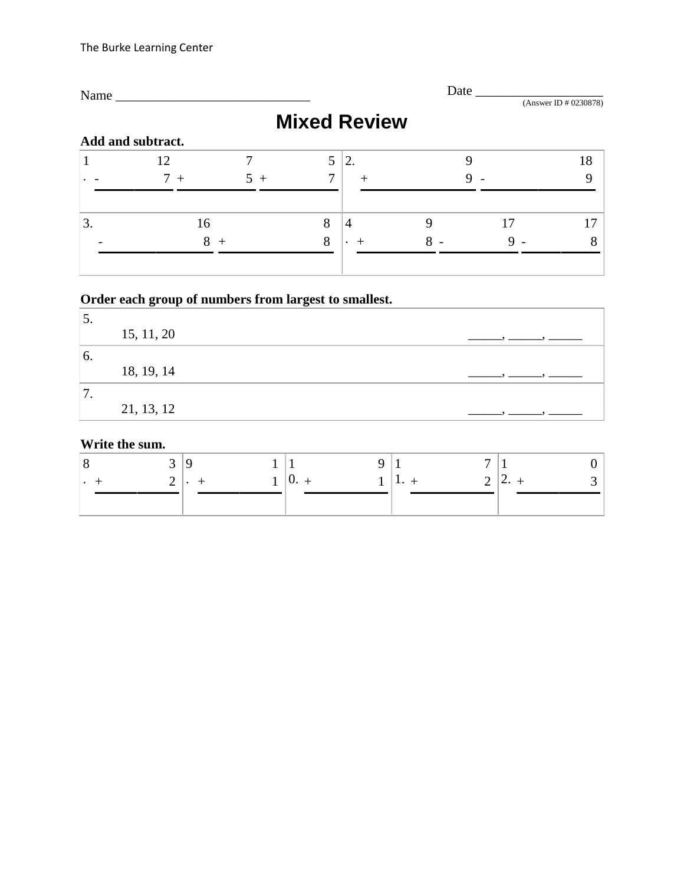| Name_ |                   |      |   |                     | Date |             | (Answer ID # 0230878) |
|-------|-------------------|------|---|---------------------|------|-------------|-----------------------|
|       |                   |      |   | <b>Mixed Review</b> |      |             |                       |
|       | Add and subtract. |      |   |                     |      |             |                       |
|       | 12                |      | 5 | 2.                  |      |             | 18                    |
|       | $7+$              | $5+$ | 7 | $^+$                |      |             |                       |
| 3.    | 16                |      | 8 | $\overline{4}$      | 9    | 17          |                       |
|       | 8                 | $+$  | 8 |                     | 8    | $\mathbf Q$ |                       |
|       |                   |      |   |                     |      |             |                       |

# **Order each group of numbers from largest to smallest.**

| J.       |            |  |
|----------|------------|--|
|          | 15, 11, 20 |  |
| 6.       |            |  |
|          | 18, 19, 14 |  |
| −<br>. . |            |  |
|          | 21, 13, 12 |  |

### **Write the sum.**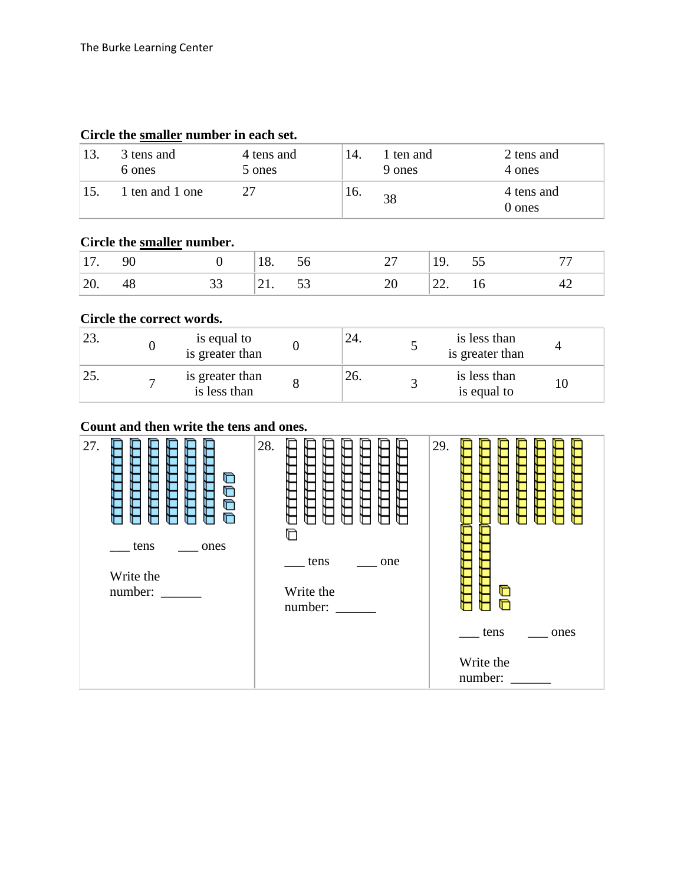| 13. | 3 tens and<br>6 ones | 4 tens and<br>5 ones | -14. | 1 ten and<br>9 ones | 2 tens and<br>4 ones |
|-----|----------------------|----------------------|------|---------------------|----------------------|
| 15. | 1 ten and 1 one      | 27                   | 16.  | 38                  | 4 tens and<br>0 ones |

### **Circle the smaller number in each set.**

# **Circle the smaller number.**

|  | $18 \overline{6}$ |  | 19. |                |  |
|--|-------------------|--|-----|----------------|--|
|  | 71 53<br>$-1$ .   |  | ——  | $\overline{A}$ |  |

### **Circle the correct words.**

|   | is equal to<br>is greater than  | 24. | is less than<br>is greater than |  |
|---|---------------------------------|-----|---------------------------------|--|
| - | is greater than<br>is less than | 26. | is less than<br>is equal to     |  |

### **Count and then write the tens and ones.**

| number: | 27.<br>G<br>Ò<br>TTT<br>Ò<br>ಗ<br>tens<br>ones<br>Write the<br>number: | 28.<br>TTTTTTT<br>F<br>г<br>O<br>tens<br>one<br>Write the<br>number: | 29.<br>Ò<br>∩<br>tens<br>ones<br>Write the |
|---------|------------------------------------------------------------------------|----------------------------------------------------------------------|--------------------------------------------|
|---------|------------------------------------------------------------------------|----------------------------------------------------------------------|--------------------------------------------|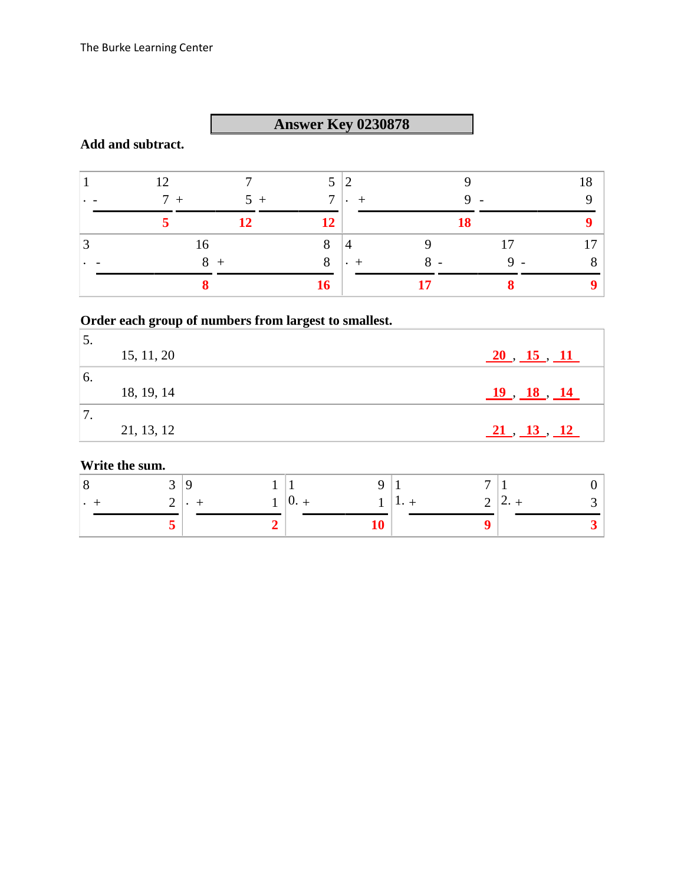# **Answer Key 0230878**

### **Add and subtract.**

| 12   |       | 5 <sup>5</sup> | $\overline{2}$                             |                          |                          | 0 ו            |
|------|-------|----------------|--------------------------------------------|--------------------------|--------------------------|----------------|
| $7+$ | $5 +$ | $\tau$         | $\mathbf{1} \cdot \mathbf{1} + \mathbf{1}$ |                          | $\overline{\phantom{0}}$ |                |
|      | 12    | 12             |                                            |                          | 18                       |                |
| 16   |       | 8              | 4                                          | $\Omega$                 | 17                       | $\overline{ }$ |
|      |       | 8              | $\bullet$                                  | $\overline{\phantom{0}}$ | $\mathsf{u}$ .           |                |
|      |       | 16             |                                            |                          |                          |                |

# **Order each group of numbers from largest to smallest.**

| $\mathcal{L}$ . |            |                                                        |
|-----------------|------------|--------------------------------------------------------|
|                 | 15, 11, 20 | $\frac{20}{15}$ , $\frac{15}{11}$                      |
| 6.              |            |                                                        |
|                 | 18, 19, 14 | $\underline{19}$ , $\underline{18}$ , $\underline{14}$ |
|                 |            |                                                        |
|                 | 21, 13, 12 | 21, 13, 12                                             |

### **Write the sum.**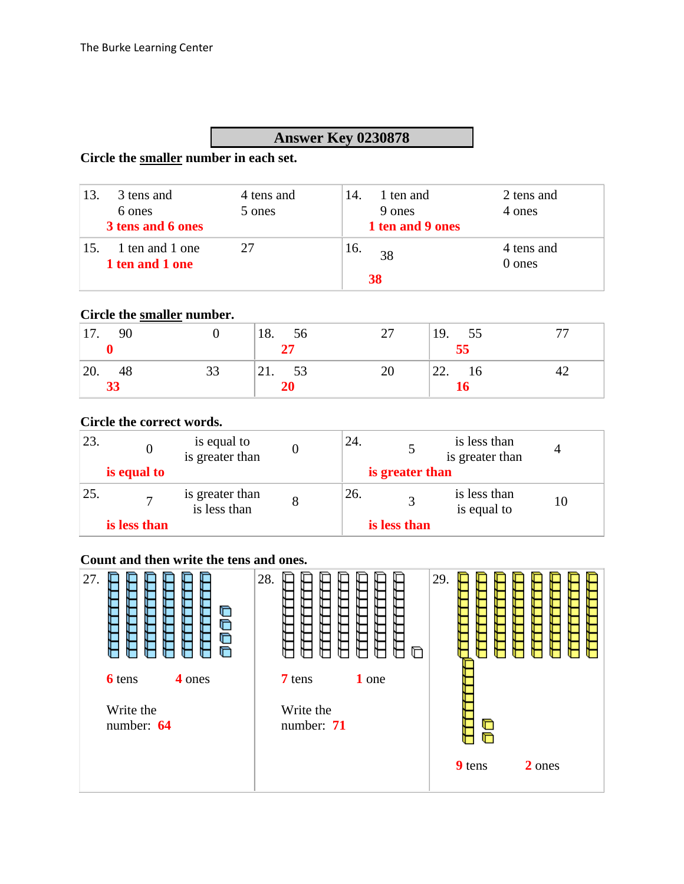### **Answer Key 0230878**

#### **Circle the smaller number in each set.**

| 13. | 3 tens and                         | 4 tens and | 14. | 1 ten and        | 2 tens and           |
|-----|------------------------------------|------------|-----|------------------|----------------------|
|     | 6 ones                             | 5 ones     |     | 9 ones           | 4 ones               |
|     | 3 tens and 6 ones                  |            |     | 1 ten and 9 ones |                      |
| 15. | 1 ten and 1 one<br>1 ten and 1 one |            | 16. | 38               | 4 tens and<br>0 ones |
|     |                                    |            |     | 38               |                      |

### **Circle the smaller number.**

| 90<br>17.       |    | 18. 56<br>27    | 27 | 19.<br>$\frac{55}{55}$ |    |
|-----------------|----|-----------------|----|------------------------|----|
| 48<br>20.<br>33 | 33 | 53<br>21.<br>20 | 20 | 22.<br>16              | 42 |

#### **Circle the correct words.**

| 23.  |              | is equal to<br>is greater than  |  | 24.             |              | is less than<br>is greater than |  |
|------|--------------|---------------------------------|--|-----------------|--------------|---------------------------------|--|
|      | is equal to  |                                 |  | is greater than |              |                                 |  |
| 125. |              | is greater than<br>is less than |  | 26.             |              | is less than<br>is equal to     |  |
|      | is less than |                                 |  |                 | is less than |                                 |  |

#### **Count and then write the tens and ones.**